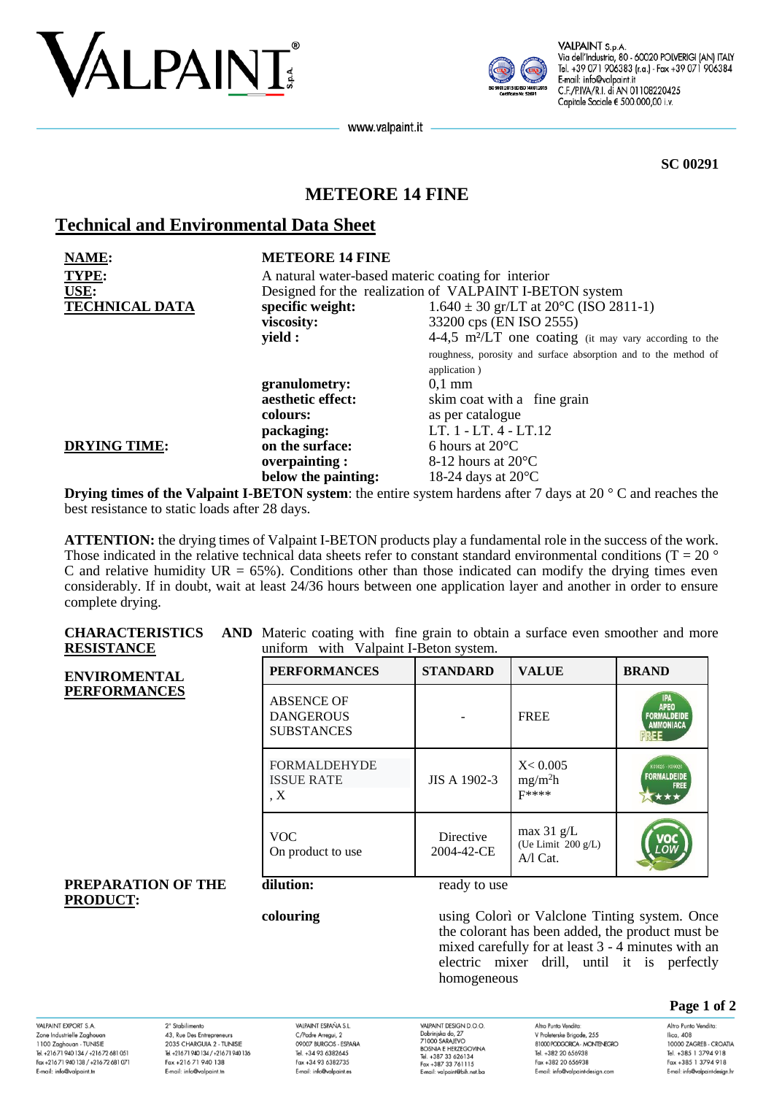



VALPAINT S.p.A Via dell'Industria, 80 - 60020 POLVERIGI (AN) ITALY Tel. +39 071 906383 (r.a.) - Fax +39 071 906384 E-mail: info@valpaint.it C.F./P.IVA/R.I. di AN 01108220425 Capitale Sociale € 500.000,00 i.v.

www.valpaint.it

**SC 00291**

# **METEORE 14 FINE**

# **Technical and Environmental Data Sheet**

| NAME:                 | <b>METEORE 14 FINE</b>                                                  |                                                                    |  |
|-----------------------|-------------------------------------------------------------------------|--------------------------------------------------------------------|--|
| <b>TYPE:</b>          | A natural water-based materic coating for interior                      |                                                                    |  |
| USE:                  | Designed for the realization of VALPAINT I-BETON system                 |                                                                    |  |
| <b>TECHNICAL DATA</b> | $1.640 \pm 30$ gr/LT at $20^{\circ}$ C (ISO 2811-1)<br>specific weight: |                                                                    |  |
|                       | viscosity:                                                              | 33200 cps (EN ISO 2555)                                            |  |
|                       | yield :                                                                 | 4-4,5 m <sup>2</sup> /LT one coating (it may vary according to the |  |
|                       |                                                                         | roughness, porosity and surface absorption and to the method of    |  |
|                       |                                                                         | application)                                                       |  |
|                       | granulometry:                                                           | $0.1$ mm                                                           |  |
|                       | aesthetic effect:                                                       | skim coat with a fine grain                                        |  |
|                       | colours:                                                                | as per catalogue                                                   |  |
|                       | packaging:                                                              | LT. 1 - LT. 4 - LT.12                                              |  |
| <b>DRYING TIME:</b>   | on the surface:                                                         | 6 hours at $20^{\circ}$ C                                          |  |
|                       | overpainting:                                                           | 8-12 hours at $20^{\circ}$ C                                       |  |
|                       | below the painting:                                                     | 18-24 days at $20^{\circ}$ C                                       |  |

**Drying times of the Valpaint I-BETON system**: the entire system hardens after 7 days at 20 ° C and reaches the best resistance to static loads after 28 days.

**ATTENTION:** the drying times of Valpaint I-BETON products play a fundamental role in the success of the work. Those indicated in the relative technical data sheets refer to constant standard environmental conditions ( $T = 20$   $\degree$ ) C and relative humidity  $UR = 65\%$ ). Conditions other than those indicated can modify the drying times even considerably. If in doubt, wait at least 24/36 hours between one application layer and another in order to ensure complete drying.

**CHARACTERISTICS RESISTANCE** AND Materic coating with fine grain to obtain a surface even smoother and more uniform with Valpaint I-Beton system.

| www.nitor<br><b>ENVIROMENTAL</b>      | <b>PERFORMANCES</b>                                        | <b>STANDARD</b>         | <b>VALUE</b>                                     | <b>BRAND</b>                                          |
|---------------------------------------|------------------------------------------------------------|-------------------------|--------------------------------------------------|-------------------------------------------------------|
| <b>PERFORMANCES</b>                   | <b>ABSENCE OF</b><br><b>DANGEROUS</b><br><b>SUBSTANCES</b> |                         | <b>FREE</b>                                      | <b>IPA</b><br>APEO<br><b>FORMALDEIDE</b><br>AMMONIACA |
|                                       | <b>FORMALDEHYDE</b><br><b>ISSUE RATE</b><br>$\overline{X}$ | JIS A 1902-3            | X < 0.005<br>mg/m <sup>2</sup> h<br><b>F****</b> | K09025 - K09026<br><b>FORMALDEIDE</b><br><b>FREE</b>  |
|                                       | <b>VOC</b><br>On product to use                            | Directive<br>2004-42-CE | max $31$ g/L<br>(Ue Limit 200 g/L)<br>$A/I$ Cat. | VOC<br>LOW                                            |
| PREPARATION OF THE<br><b>PRODUCT:</b> | dilution:                                                  | ready to use            |                                                  |                                                       |

## **PREPARATION OF THE**   $PR$

**colouring** using Colorì or Valclone Tinting system. Once the colorant has been added, the product must be mixed carefully for at least 3 - 4 minutes with an electric mixer drill, until it is perfectly homogeneous

### **Page 1 of 2**

VAI PAINIT EYPORT & A Zone Industrielle Zaghoua 1100 Zaghouan - TUNISIE<br>Tel. +216 71 940 134 / +216 72 681 051 Fax +216 71 940 138 / +216 72 681 071 E-mail: info@valpaint.tn

2° Stabilimento 43, Rue Des Entrepreneurs 2035 CHARGUIA 2 - TUNISIE Tel. +21671 940 134 / +21671 940 136 Fax +216 71 940 138 E-mail: info@valpaint.tn

VAIRAINT ESPAÑA S I C/Padre Arregui, 2 OOOOZ BIJDCOS ESDAÑA Tel. +34 93 6382645 Fax +34 93 6382735 E-mail: info@valpaint.es

VAI PAINT DESIGN D O O VALPAINT DESIGN D.O.O.<br>Dobrinjska do, 27<br>71000 SARAJEVO<br>BOSNIA E HERZEGOVINA Tel. +387 33 626134 Fax +387 33 761115 E-mail: valpaint@bih.net.bo Altro Punto Vendita V Proleterske Brigade, 255 **RIOO BODGORCA - MONTENEGRO** Tel. +382 20 656938 Fax +382 20 656938 E-mail: info@valpaint-design.com